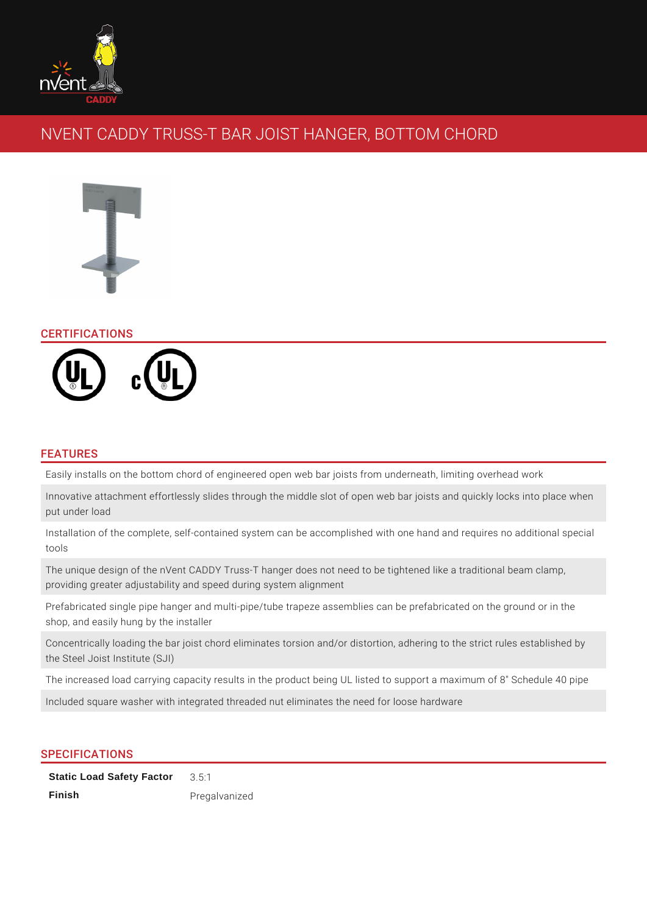

# NVENT CADDY TRUSS-T BAR JOIST HANGER, BOTTOM CHORD



## CERTIFICATIONS



## FEATURES

Easily installs on the bottom chord of engineered open web bar joists from underneath, limiting overhead work

Innovative attachment effortlessly slides through the middle slot of open web bar joists and quickly locks into place when put under load

Installation of the complete, self-contained system can be accomplished with one hand and requires no additional special tools

The unique design of the nVent CADDY Truss-T hanger does not need to be tightened like a traditional beam clamp, providing greater adjustability and speed during system alignment

Prefabricated single pipe hanger and multi-pipe/tube trapeze assemblies can be prefabricated on the ground or in the shop, and easily hung by the installer

Concentrically loading the bar joist chord eliminates torsion and/or distortion, adhering to the strict rules established by the Steel Joist Institute (SJI)

The increased load carrying capacity results in the product being UL listed to support a maximum of 8" Schedule 40 pipe

Included square washer with integrated threaded nut eliminates the need for loose hardware

## SPECIFICATIONS

**Static Load Safety Factor** 3.5:1 **Finish** Pregalvanized